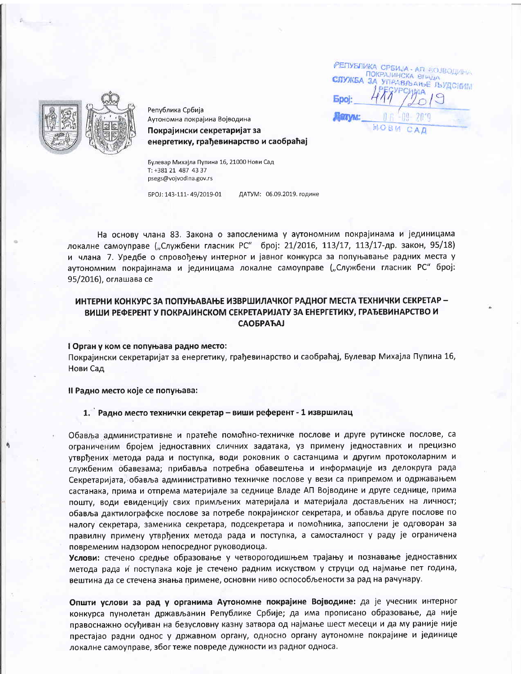РЕПУБЛИКА СРБИЈА - АП БОЈВОДИНА ПОКРАЈИНСКА ВПАДА СПУЖБА УПРАВЉАЊЕ ЉУДСКИМ  $30$ **Epoi:** 



Република Србија Аутономна покрајина Војводина

Покрајински секретаријат за енергетику, грађевинарство и саобраћај

Булевар Михајла Пупина 16, 21000 Нови Сад T: +381 21 487 43 37 psegs@vojvodina.gov.rs

EPOJ: 143-111-49/2019-01 ДАТУМ: 06.09.2019. године

На основу члана 83. Закона о запосленима у аутономним покрајинама и јединицама локалне самоуправе ("Службени гласник РС" број: 21/2016, 113/17, 113/17-др. закон, 95/18) и члана 7. Уредбе о спровођењу интерног и јавног конкурса за попуњавање радних места у аутономним покрајинама и јединицама локалне самоуправе ("Службени гласник РС" број: 95/2016), оглашава се

# ИНТЕРНИ КОНКУРС ЗА ПОПУЊАВАЊЕ ИЗВРШИЛАЧКОГ РАДНОГ МЕСТА ТЕХНИЧКИ СЕКРЕТАР -ВИШИ РЕФЕРЕНТ У ПОКРАЈИНСКОМ СЕКРЕТАРИЈАТУ ЗА ЕНЕРГЕТИКУ, ГРАЂЕВИНАРСТВО И **САОБРАЋАЈ**

I Орган у ком се попуњава радно место:

Покрајински секретаријат за енергетику, грађевинарство и саобраћај, Булевар Михајла Пупина 16, Нови Сад

Il Радно место које се попуњава:

## 1. Радно место технички секретар - виши референт - 1 извршилац

Обавља административне и пратеће помоћно-техничке послове и друге рутинске послове, са ограниченим бројем једноставних сличних задатака, уз примену једноставних и прецизно утврђених метода рада и поступка, води роковник о састанцима и другим протоколарним и службеним обавезама; прибавља потребна обавештења и информације из делокруга рада Секретаријата, обавља административно техничке послове у вези са припремом и одржавањем састанака, прима и отпрема материјале за седнице Владе АП Војводине и друге седнице, прима пошту, води евиденцију свих примљених материјала и материјала достављених на личност; обавља дактилографске послове за потребе покрајинског секретара, и обавља друге послове по налогу секретара, заменика секретара, подсекретара и помоћника, запослени је одговоран за правилну примену утврђених метода рада и поступка, а самосталност у раду је ограничена повременим надзором непосредног руководиоца.

Услови: стечено средње образовање у четворогодишњем трајању и познавање једноставних метода рада и поступака које је стечено радним искуством у струци од најмање пет година, вештина да се стечена знања примене, основни ниво оспособљености за рад на рачунару.

Општи услови за рад у органима Аутономне покрајине Војводине: да је учесник интерног конкурса пунолетан држављанин Републике Србије; да има прописано образовање, да није правоснажно осуђиван на безусловну казну затвора од најмање шест месеци и да му раније није престајао радни однос у државном органу, односно органу аутономне покрајине и јединице локалне самоуправе, због теже повреде дужности из радног односа.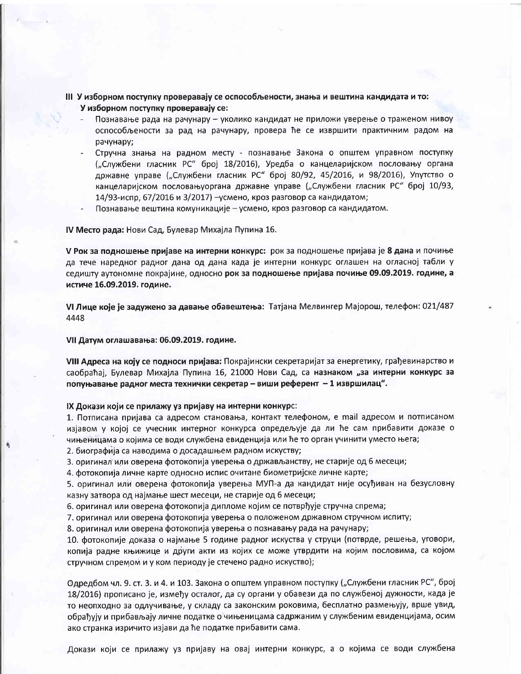III У изборном поступку проверавају се оспособљености, знања и вештина кандидата и то: У изборном поступку проверавају се:

- Познавање рада на рачунару уколико кандидат не приложи уверење о траженом нивоу оспособљености за рад на рачунару, провера ће се извршити практичним радом на рачунару;
- Стручна знања на радном месту познавање Закона о општем управном поступку ("Службени гласник РС" број 18/2016), Уредба о канцеларијском пословању органа државне управе ("Службени гласник РС" број 80/92, 45/2016, и 98/2016), Упутство о канцеларијском пословањуоргана државне управе ("Службени гласник РС" број 10/93, 14/93-испр, 67/2016 и 3/2017) - усмено, кроз разговор са кандидатом;
- Познавање вештина комуникације усмено, кроз разговор са кандидатом.

IV Место рада: Нови Сад, Булевар Михајла Пупина 16.

V Рок за подношење пријаве на интерни конкурс: рок за подношење пријава је 8 дана и почиње да тече наредног радног дана од дана када је интерни конкурс оглашен на огласној табли у седишту аутономне покрајине, односно рок за подношење пријава почиње 09.09.2019. године, а истиче 16.09.2019. године.

VI Лице које је задужено за давање обавештења: Татјана Мелвингер Мајорош, телефон: 021/487 4448

VII Датум оглашавања: 06.09.2019. године.

VIII Адреса на коју се подноси пријава: Покрајински секретаријат за енергетику, грађевинарство и саобраћај, Булевар Михајла Пупина 16, 21000 Нови Сад, са назнаком "за интерни конкурс за попуњавање радног места технички секретар – виши референт – 1 извршилац".

IX Докази који се прилажу уз пријаву на интерни конкурс:

1. Потписана пријава са адресом становања, контакт телефоном, е mail адресом и потписаном изјавом у којој се учесник интерног конкурса опредељује да ли ће сам прибавити доказе о чињеницама о којима се води службена евиденција или ће то орган учинити уместо њега;

2. биографија са наводима о досадашњем радном искуству;

3. оригинал или оверена фотокопија уверења о држављанству, не старије од 6 месеци;

4. фотокопија личне карте односно испис очитане биометријске личне карте;

5. оригинал или оверена фотокопија уверења МУП-а да кандидат није осуђиван на безусловну казну затвора од најмање шест месеци, не старије од 6 месеци;

6. оригинал или оверена фотокопија дипломе којим се потврђује стручна спрема;

7. оригинал или оверена фотокопија уверења о положеном државном стручном испиту;

8. оригинал или оверена фотокопија уверења о познавању рада на рачунару;

10. фотокопије доказа о најмање 5 године радног искуства у струци (потврде, решења, уговори, копија радне књижице и други акти из којих се може утврдити на којим пословима, са којом стручном спремом и у ком периоду је стечено радно искуство);

Одредбом чл. 9. ст. 3. и 4. и 103. Закона о општем управном поступку ("Службени гласник РС", број 18/2016) прописано је, између осталог, да су органи у обавези да по службеној дужности, када је то неопходно за одлучивање, у складу са законским роковима, бесплатно размењују, врше увид, обрађују и прибављају личне податке о чињеницама садржаним у службеним евиденцијама, осим ако странка изричито изјави да ће податке прибавити сама.

Докази који се прилажу уз пријаву на овај интерни конкурс, а о којима се води службена